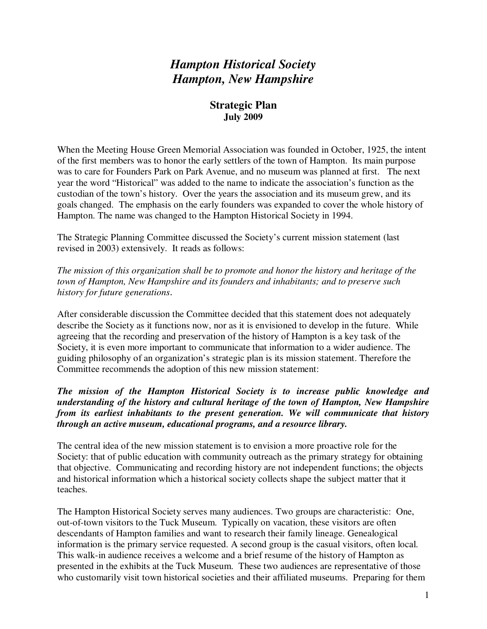# *Hampton Historical Society Hampton, New Hampshire*

### **Strategic Plan July 2009**

When the Meeting House Green Memorial Association was founded in October, 1925, the intent of the first members was to honor the early settlers of the town of Hampton. Its main purpose was to care for Founders Park on Park Avenue, and no museum was planned at first. The next year the word "Historical" was added to the name to indicate the association's function as the custodian of the town's history. Over the years the association and its museum grew, and its goals changed. The emphasis on the early founders was expanded to cover the whole history of Hampton. The name was changed to the Hampton Historical Society in 1994.

The Strategic Planning Committee discussed the Society's current mission statement (last revised in 2003) extensively. It reads as follows:

*The mission of this organization shall be to promote and honor the history and heritage of the town of Hampton, New Hampshire and its founders and inhabitants; and to preserve such history for future generations*.

After considerable discussion the Committee decided that this statement does not adequately describe the Society as it functions now, nor as it is envisioned to develop in the future. While agreeing that the recording and preservation of the history of Hampton is a key task of the Society, it is even more important to communicate that information to a wider audience. The guiding philosophy of an organization's strategic plan is its mission statement. Therefore the Committee recommends the adoption of this new mission statement:

### *The mission of the Hampton Historical Society is to increase public knowledge and understanding of the history and cultural heritage of the town of Hampton, New Hampshire from its earliest inhabitants to the present generation. We will communicate that history through an active museum, educational programs, and a resource library.*

The central idea of the new mission statement is to envision a more proactive role for the Society: that of public education with community outreach as the primary strategy for obtaining that objective. Communicating and recording history are not independent functions; the objects and historical information which a historical society collects shape the subject matter that it teaches.

The Hampton Historical Society serves many audiences. Two groups are characteristic: One, out-of-town visitors to the Tuck Museum. Typically on vacation, these visitors are often descendants of Hampton families and want to research their family lineage. Genealogical information is the primary service requested. A second group is the casual visitors, often local. This walk-in audience receives a welcome and a brief resume of the history of Hampton as presented in the exhibits at the Tuck Museum. These two audiences are representative of those who customarily visit town historical societies and their affiliated museums. Preparing for them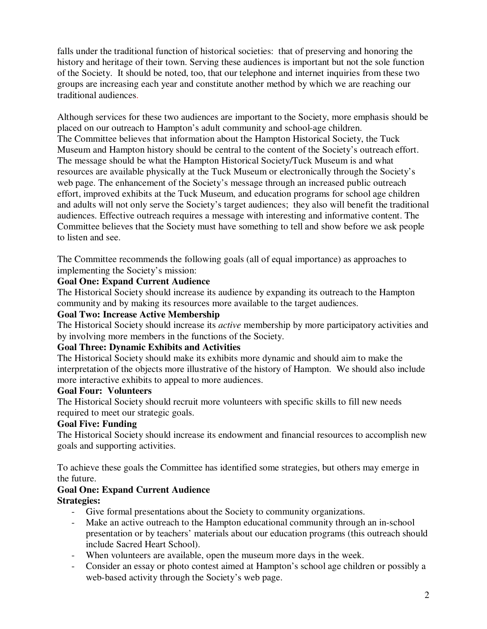falls under the traditional function of historical societies: that of preserving and honoring the history and heritage of their town. Serving these audiences is important but not the sole function of the Society. It should be noted, too, that our telephone and internet inquiries from these two groups are increasing each year and constitute another method by which we are reaching our traditional audiences.

Although services for these two audiences are important to the Society, more emphasis should be placed on our outreach to Hampton's adult community and school-age children. The Committee believes that information about the Hampton Historical Society, the Tuck Museum and Hampton history should be central to the content of the Society's outreach effort. The message should be what the Hampton Historical Society/Tuck Museum is and what resources are available physically at the Tuck Museum or electronically through the Society's web page. The enhancement of the Society's message through an increased public outreach effort, improved exhibits at the Tuck Museum, and education programs for school age children and adults will not only serve the Society's target audiences; they also will benefit the traditional audiences. Effective outreach requires a message with interesting and informative content. The Committee believes that the Society must have something to tell and show before we ask people to listen and see.

The Committee recommends the following goals (all of equal importance) as approaches to implementing the Society's mission:

### **Goal One: Expand Current Audience**

The Historical Society should increase its audience by expanding its outreach to the Hampton community and by making its resources more available to the target audiences.

### **Goal Two: Increase Active Membership**

The Historical Society should increase its *active* membership by more participatory activities and by involving more members in the functions of the Society.

### **Goal Three: Dynamic Exhibits and Activities**

The Historical Society should make its exhibits more dynamic and should aim to make the interpretation of the objects more illustrative of the history of Hampton. We should also include more interactive exhibits to appeal to more audiences.

### **Goal Four: Volunteers**

The Historical Society should recruit more volunteers with specific skills to fill new needs required to meet our strategic goals.

### **Goal Five: Funding**

The Historical Society should increase its endowment and financial resources to accomplish new goals and supporting activities.

To achieve these goals the Committee has identified some strategies, but others may emerge in the future.

# **Goal One: Expand Current Audience**

### **Strategies:**

- Give formal presentations about the Society to community organizations.
- Make an active outreach to the Hampton educational community through an in-school presentation or by teachers' materials about our education programs (this outreach should include Sacred Heart School).
- When volunteers are available, open the museum more days in the week.
- Consider an essay or photo contest aimed at Hampton's school age children or possibly a web-based activity through the Society's web page.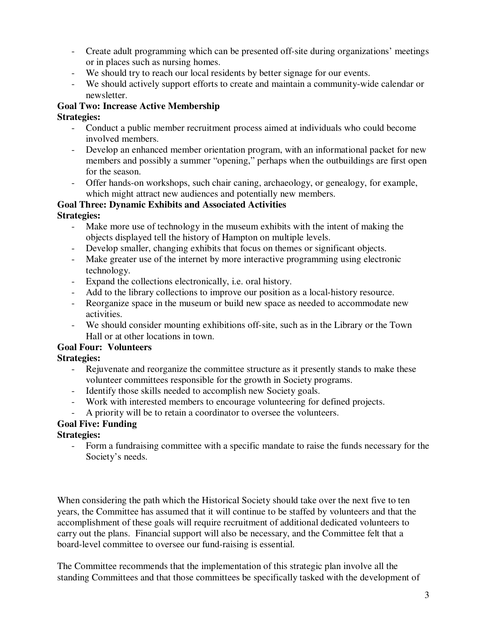- Create adult programming which can be presented off-site during organizations' meetings or in places such as nursing homes.
- We should try to reach our local residents by better signage for our events.
- We should actively support efforts to create and maintain a community-wide calendar or newsletter.

# **Goal Two: Increase Active Membership**

- **Strategies:**
	- Conduct a public member recruitment process aimed at individuals who could become involved members.
	- Develop an enhanced member orientation program, with an informational packet for new members and possibly a summer "opening," perhaps when the outbuildings are first open for the season.
	- Offer hands-on workshops, such chair caning, archaeology, or genealogy, for example, which might attract new audiences and potentially new members.

# **Goal Three: Dynamic Exhibits and Associated Activities**

### **Strategies:**

- Make more use of technology in the museum exhibits with the intent of making the objects displayed tell the history of Hampton on multiple levels.
- Develop smaller, changing exhibits that focus on themes or significant objects.
- Make greater use of the internet by more interactive programming using electronic technology.
- Expand the collections electronically, i.e. oral history.
- Add to the library collections to improve our position as a local-history resource.
- Reorganize space in the museum or build new space as needed to accommodate new activities.
- We should consider mounting exhibitions off-site, such as in the Library or the Town Hall or at other locations in town.

# **Goal Four: Volunteers**

# **Strategies:**

- Rejuvenate and reorganize the committee structure as it presently stands to make these volunteer committees responsible for the growth in Society programs.
- Identify those skills needed to accomplish new Society goals.
- Work with interested members to encourage volunteering for defined projects.
- A priority will be to retain a coordinator to oversee the volunteers.

# **Goal Five: Funding**

### **Strategies:**

- Form a fundraising committee with a specific mandate to raise the funds necessary for the Society's needs.

When considering the path which the Historical Society should take over the next five to ten years, the Committee has assumed that it will continue to be staffed by volunteers and that the accomplishment of these goals will require recruitment of additional dedicated volunteers to carry out the plans. Financial support will also be necessary, and the Committee felt that a board-level committee to oversee our fund-raising is essential.

The Committee recommends that the implementation of this strategic plan involve all the standing Committees and that those committees be specifically tasked with the development of